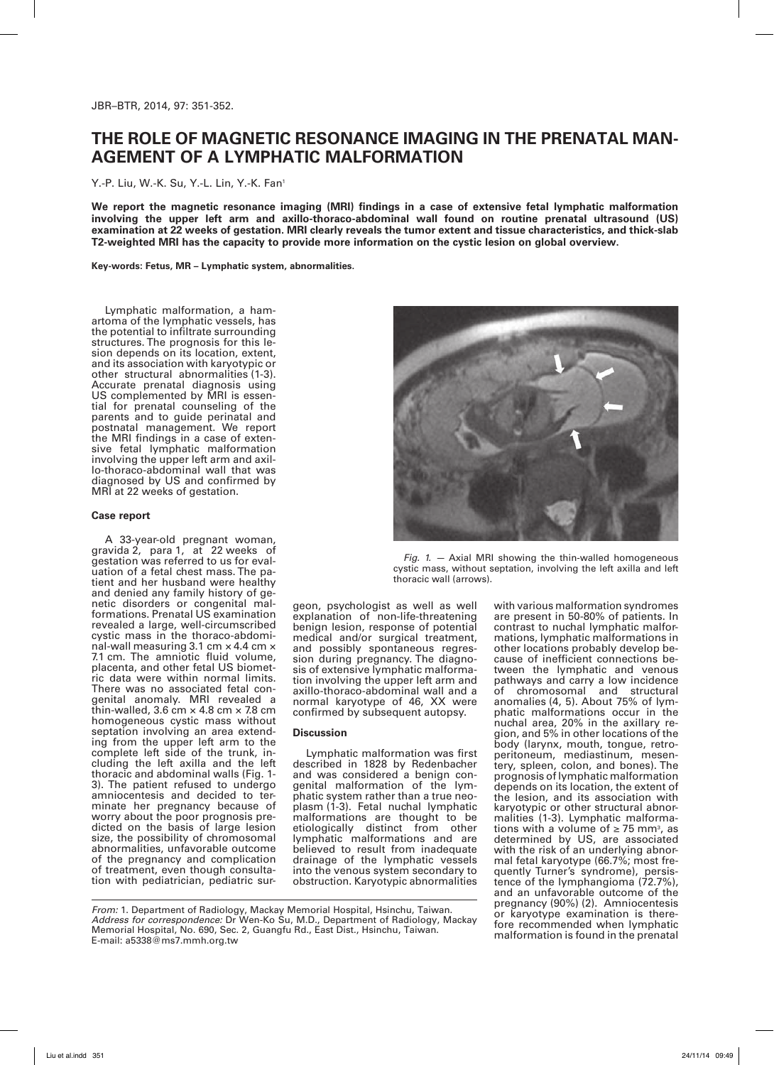## **The role of magnetic resonance imaging in the prenatal management of a lymphatic malformation**

Y.-P. Liu, W.-K. Su, Y.-L. Lin, Y.-K. Fan<sup>1</sup>

**We report the magnetic resonance imaging (MRI) findings in a case of extensive fetal lymphatic malformation involving the upper left arm and axillo-thoraco-abdominal wall found on routine prenatal ultrasound (US) examination at 22 weeks of gestation. MRI clearly reveals the tumor extent and tissue characteristics, and thick-slab T2-weighted MRI has the capacity to provide more information on the cystic lesion on global overview.**

**Key-words: Fetus, MR – Lymphatic system, abnormalities.**

Lymphatic malformation, a hamartoma of the lymphatic vessels, has the potential to infiltrate surrounding structures. The prognosis for this lesion depends on its location, extent, and its association with karyotypic or other structural abnormalities (1-3). Accurate prenatal diagnosis using<br>US complemented by MRI is essential for prenatal counseling of the parents and to guide perinatal and postnatal management. We report<br>the MRI findings in a case of extensive fetal lymphatic malformation<br>involving the upper left arm and axillo-thoraco-abdominal wall that was diagnosed by US and confirmed by MRI at 22 weeks of gestation.

## **Case report**

A 33-year-old pregnant woman, gravida 2, para 1, at 22 weeks of gestation was referred to us for evaluation of a fetal chest mass. The patient and her husband were healthy and denied any family history of genetic disorders or congenital mal-<br>formations. Prenatal US examination revealed a large, well-circumscribed cystic mass in the thoraco-abdominal-wall measuring 3.1 cm × 4.4 cm × 7.1 cm. The amniotic fluid volume, placenta, and other fetal US biometric data were within normal limits. There was no associated fetal congenital anomaly. MRI revealed a thin-walled, 3.6 cm  $\times$  4.8 cm  $\times$  7.8 cm homogeneous cystic mass without<br>septation involving an area extending from the upper left arm to the complete left side of the trunk, in-<br>cluding the left axilla and the left<br>thoracic and abdominal walls (Fig. 1-3). The patient refused to undergo amniocentesis and decided to terminate her pregnancy because of<br>worry about the poor prognosis predicted on the basis of large lesion size, the possibility of chromosomal abnormalities, unfavorable outcome of the pregnancy and complication<br>of treatment, even though consultation with pediatrician, pediatric sur-



*Fig. 1. —* Axial MRI showing the thin-walled homogeneous cystic mass, without septation, involving the left axilla and left thoracic wall (arrows).

geon, psychologist as well as well explanation of non-life-threatening benign lesion, response of potential medical and/or surgical treatment,<br>and possibly spontaneous regression during pregnancy. The diagno-<br>sis of extensive lymphatic malforma-<br>tion involving the upper left arm and axillo-thoraco-abdominal wall and a normal karyotype of 46, XX were confirmed by subsequent autopsy.

## **Discussion**

Lymphatic malformation was first described in 1828 by Redenbacher and was considered a benign congenital malformation of the lymphatic system rather than a true neoplasm (1-3). Fetal nuchal lymphatic malformations are thought to be etiologically distinct from other lymphatic malformations and are believed to result from inadequate drainage of the lymphatic vessels into the venous system secondary to obstruction. Karyotypic abnormalities

with various malformation syndromes are present in 50-80% of patients. In contrast to nuchal lymphatic malformations, lymphatic malformations in other locations probably develop because of inefficient connections between the lymphatic and venous pathways and carry a low incidence of chromosomal and structural anomalies (4, 5). About 75% of lymphatic malformations occur in the nuchal area, 20% in the axillary re-<br>gion, and 5% in other locations of the<br>body (larynx, mouth, tongue, retrobody (larynx, mouth, tongue, retro-<br>peritoneum, mediastinum, mesen-<br>tery, spleen, colon, and bones). The prognosis of lymphatic malformation depends on its location, the extent of the lesion, and its association with<br>karyotypic or other structural abnorkaryotypic or other structural abnor-<br>malities (1-3). Lymphatic malforma-<br>tions with a volume of ≥ 75 mm<sup>3</sup>, as determined by US, are associated with the risk of an underlying abnormal fetal karyotype (66.7%; most frequently Turner's syndrome), persistence of the lymphangioma (72.7%), and an unfavorable outcome of the pregnancy (90%) (2). Amniocentesis or karyotype examination is therefore recommended when lymphatic malformation is found in the prenatal

*From:* 1. Department of Radiology, Mackay Memorial Hospital, Hsinchu, Taiwan. *Address for correspondence:* Dr Wen-Ko Su, M.D., Department of Radiology, Mackay Memorial Hospital, No. 690, Sec. 2, Guangfu Rd., East Dist., Hsinchu, Taiwan. E-mail: a5338@ms7.mmh.org.tw